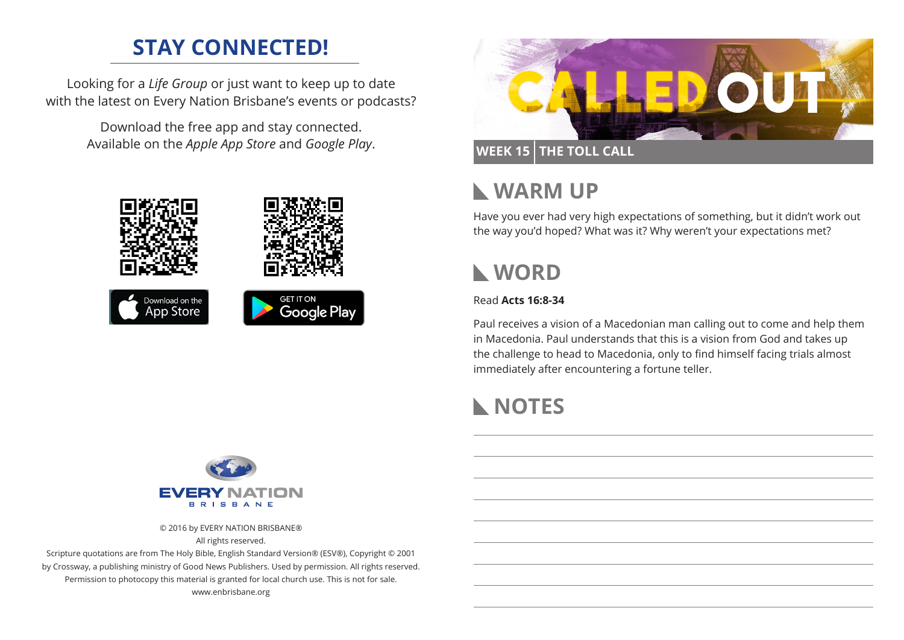## **STAY CONNECTED!**

Looking for a *Life Group* or just want to keep up to date with the latest on Every Nation Brisbane's events or podcasts?

> Download the free app and stay connected. Available on the *Apple App Store* and *Google Play*.





#### **WEEK 15 THE TOLL CALL**

#### **WARM UP**  $\mathbf{L}$

Have you ever had very high expectations of something, but it didn't work out the way you'd hoped? What was it? Why weren't your expectations met?

# **WORD**

#### Read **Acts 16:8-34**

Paul receives a vision of a Macedonian man calling out to come and help them in Macedonia. Paul understands that this is a vision from God and takes up the challenge to head to Macedonia, only to find himself facing trials almost immediately after encountering a fortune teller.

# **NOTES**



© 2016 by EVERY NATION BRISBANE®

All rights reserved.

Scripture quotations are from The Holy Bible, English Standard Version® (ESV®), Copyright © 2001 by Crossway, a publishing ministry of Good News Publishers. Used by permission. All rights reserved. Permission to photocopy this material is granted for local church use. This is not for sale. www.enbrisbane.org